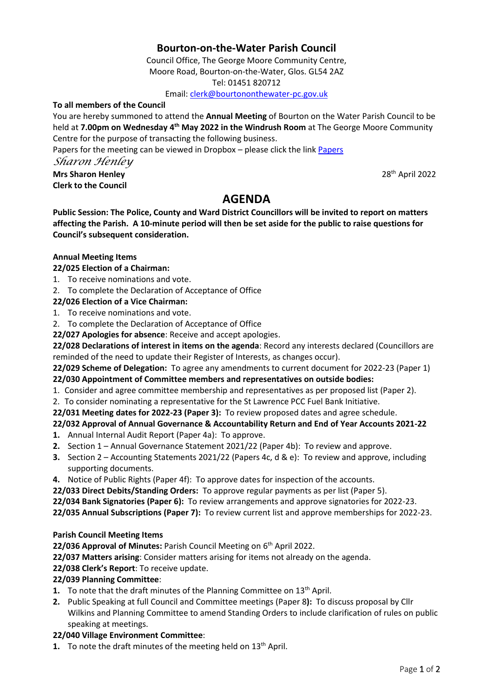# **Bourton-on-the-Water Parish Council**

Council Office, The George Moore Community Centre, Moore Road, Bourton-on-the-Water, Glos. GL54 2AZ Tel: 01451 820712

Email[: clerk@bourtononthewater-pc.gov.uk](mailto:clerk@bourtononthewater-pc.gov.uk)

#### **To all members of the Council**

You are hereby summoned to attend the **Annual Meeting** of Bourton on the Water Parish Council to be held at **7.00pm on Wednesday 4 th May 2022 in the Windrush Room** at The George Moore Community Centre for the purpose of transacting the following business.

[Papers](https://www.dropbox.com/sh/ojhov1kom8zieux/AABJ_YTo2uoTC3KOo-Lpbpdxa?dl=0) for the meeting can be viewed in Dropbox - please click the link Papers

*Sharon Henley*

**Mrs Sharon Henley** 28th April 2022 **Clerk to the Council**

# **AGENDA**

**Public Session: The Police, County and Ward District Councillors will be invited to report on matters affecting the Parish. A 10-minute period will then be set aside for the public to raise questions for Council's subsequent consideration.** 

#### **Annual Meeting Items**

### **22/025 Election of a Chairman:**

- 1. To receive nominations and vote.
- 2. To complete the Declaration of Acceptance of Office

#### **22/026 Election of a Vice Chairman:**

- 1. To receive nominations and vote.
- 2. To complete the Declaration of Acceptance of Office
- **22/027 Apologies for absence**: Receive and accept apologies.

**22/028 Declarations of interest in items on the agenda**: Record any interests declared (Councillors are reminded of the need to update their Register of Interests, as changes occur).

**22/029 Scheme of Delegation:** To agree any amendments to current document for 2022-23 (Paper 1) **22/030 Appointment of Committee members and representatives on outside bodies:**

- 1. Consider and agree committee membership and representatives as per proposed list (Paper 2).
- 2. To consider nominating a representative for the St Lawrence PCC Fuel Bank Initiative.

#### **22/031 Meeting dates for 2022-23 (Paper 3):** To review proposed dates and agree schedule.

# **22/032 Approval of Annual Governance & Accountability Return and End of Year Accounts 2021-22**

- **1.** Annual Internal Audit Report (Paper 4a): To approve.
- **2.** Section 1 Annual Governance Statement 2021/22 (Paper 4b): To review and approve.
- **3.** Section 2 Accounting Statements 2021/22 (Papers 4c, d & e): To review and approve, including supporting documents.
- **4.** Notice of Public Rights (Paper 4f): To approve dates for inspection of the accounts.
- **22/033 Direct Debits/Standing Orders:** To approve regular payments as per list (Paper 5).
- **22/034 Bank Signatories (Paper 6):** To review arrangements and approve signatories for 2022-23.
- **22/035 Annual Subscriptions (Paper 7):** To review current list and approve memberships for 2022-23.

#### **Parish Council Meeting Items**

22/036 Approval of Minutes: Parish Council Meeting on 6<sup>th</sup> April 2022.

**22/037 Matters arising**: Consider matters arising for items not already on the agenda.

#### **22/038 Clerk's Report**: To receive update.

### **22/039 Planning Committee**:

- **1.** To note that the draft minutes of the Planning Committee on 13<sup>th</sup> April.
- **2.** Public Speaking at full Council and Committee meetings (Paper 8**):** To discuss proposal by Cllr Wilkins and Planning Committee to amend Standing Orders to include clarification of rules on public speaking at meetings.

#### **22/040 Village Environment Committee**:

1. To note the draft minutes of the meeting held on 13<sup>th</sup> April.